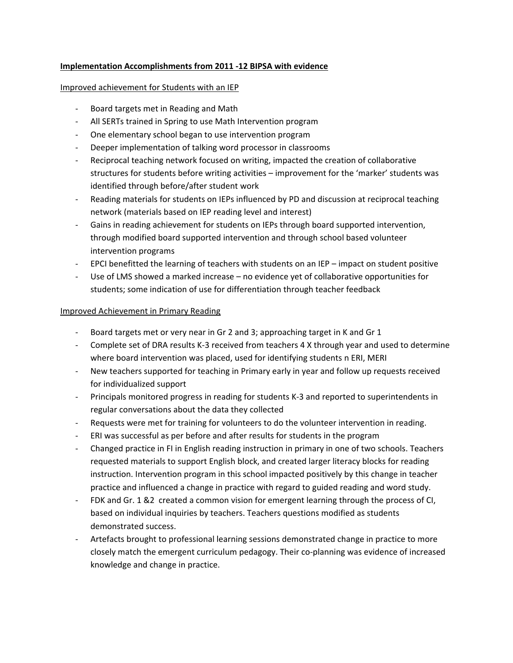#### **Implementation Accomplishments from 2011 -12 BIPSA with evidence**

#### Improved achievement for Students with an IEP

- Board targets met in Reading and Math
- All SERTs trained in Spring to use Math Intervention program
- One elementary school began to use intervention program
- Deeper implementation of talking word processor in classrooms
- Reciprocal teaching network focused on writing, impacted the creation of collaborative structures for students before writing activities – improvement for the 'marker' students was identified through before/after student work
- Reading materials for students on IEPs influenced by PD and discussion at reciprocal teaching network (materials based on IEP reading level and interest)
- Gains in reading achievement for students on IEPs through board supported intervention, through modified board supported intervention and through school based volunteer intervention programs
- EPCI benefitted the learning of teachers with students on an IEP impact on student positive
- Use of LMS showed a marked increase no evidence yet of collaborative opportunities for students; some indication of use for differentiation through teacher feedback

## Improved Achievement in Primary Reading

- Board targets met or very near in Gr 2 and 3; approaching target in K and Gr 1
- Complete set of DRA results K-3 received from teachers 4 X through year and used to determine where board intervention was placed, used for identifying students n ERI, MERI
- New teachers supported for teaching in Primary early in year and follow up requests received for individualized support
- Principals monitored progress in reading for students K-3 and reported to superintendents in regular conversations about the data they collected
- Requests were met for training for volunteers to do the volunteer intervention in reading.
- ERI was successful as per before and after results for students in the program
- Changed practice in FI in English reading instruction in primary in one of two schools. Teachers requested materials to support English block, and created larger literacy blocks for reading instruction. Intervention program in this school impacted positively by this change in teacher practice and influenced a change in practice with regard to guided reading and word study.
- FDK and Gr. 1 &2 created a common vision for emergent learning through the process of CI, based on individual inquiries by teachers. Teachers questions modified as students demonstrated success.
- Artefacts brought to professional learning sessions demonstrated change in practice to more closely match the emergent curriculum pedagogy. Their co-planning was evidence of increased knowledge and change in practice.